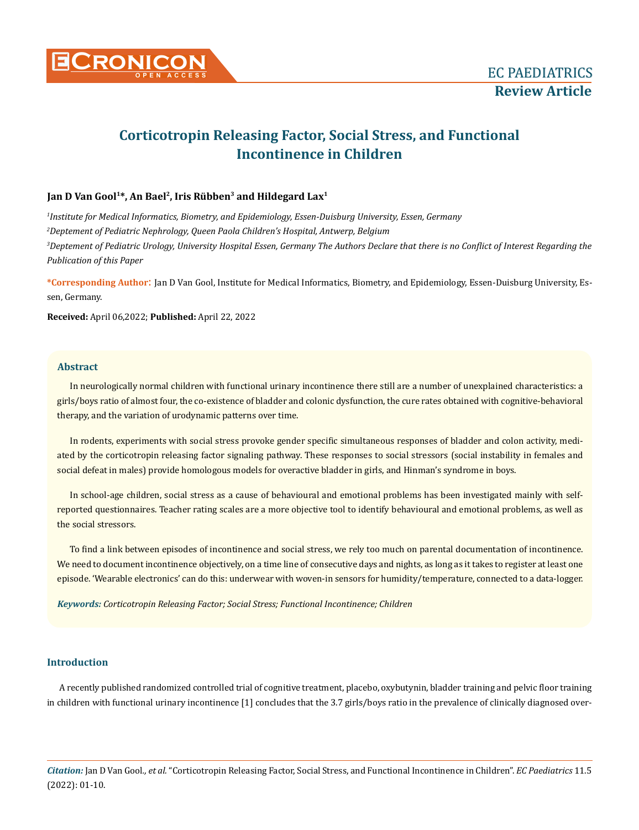

# **Corticotropin Releasing Factor, Social Stress, and Functional Incontinence in Children**

# Jan D Van Gool<sup>1\*</sup>, An Bael<sup>2</sup>, Iris Rübben<sup>3</sup> and Hildegard Lax<sup>1</sup>

 *Institute for Medical Informatics, Biometry, and Epidemiology, Essen-Duisburg University, Essen, Germany Deptement of Pediatric Nephrology, Queen Paola Children's Hospital, Antwerp, Belgium Deptement of Pediatric Urology, University Hospital Essen, Germany The Authors Declare that there is no Conflict of Interest Regarding the Publication of this Paper*

**\*Corresponding Author**: Jan D Van Gool, Institute for Medical Informatics, Biometry, and Epidemiology, Essen-Duisburg University, Essen, Germany.

**Received:** April 06,2022; **Published:** April 22, 2022

# **Abstract**

In neurologically normal children with functional urinary incontinence there still are a number of unexplained characteristics: a girls/boys ratio of almost four, the co-existence of bladder and colonic dysfunction, the cure rates obtained with cognitive-behavioral therapy, and the variation of urodynamic patterns over time.

In rodents, experiments with social stress provoke gender specific simultaneous responses of bladder and colon activity, mediated by the corticotropin releasing factor signaling pathway. These responses to social stressors (social instability in females and social defeat in males) provide homologous models for overactive bladder in girls, and Hinman's syndrome in boys.

In school-age children, social stress as a cause of behavioural and emotional problems has been investigated mainly with selfreported questionnaires. Teacher rating scales are a more objective tool to identify behavioural and emotional problems, as well as the social stressors.

To find a link between episodes of incontinence and social stress, we rely too much on parental documentation of incontinence. We need to document incontinence objectively, on a time line of consecutive days and nights, as long as it takes to register at least one episode. 'Wearable electronics' can do this: underwear with woven-in sensors for humidity/temperature, connected to a data-logger.

*Keywords: Corticotropin Releasing Factor; Social Stress; Functional Incontinence; Children*

# **Introduction**

A recently published randomized controlled trial of cognitive treatment, placebo, oxybutynin, bladder training and pelvic floor training in children with functional urinary incontinence [1] concludes that the 3.7 girls/boys ratio in the prevalence of clinically diagnosed over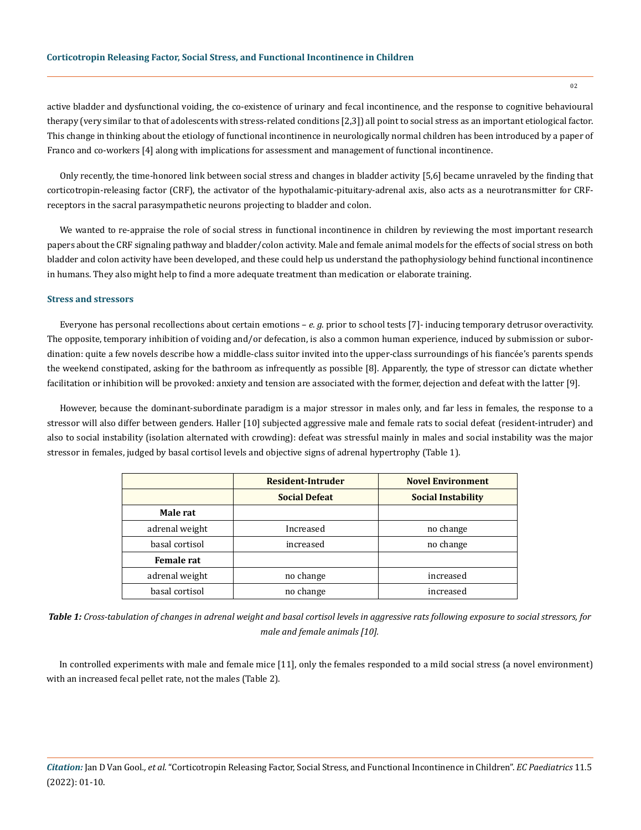active bladder and dysfunctional voiding, the co-existence of urinary and fecal incontinence, and the response to cognitive behavioural therapy (very similar to that of adolescents with stress-related conditions [2,3]) all point to social stress as an important etiological factor. This change in thinking about the etiology of functional incontinence in neurologically normal children has been introduced by a paper of Franco and co-workers [4] along with implications for assessment and management of functional incontinence.

Only recently, the time-honored link between social stress and changes in bladder activity [5,6] became unraveled by the finding that corticotropin-releasing factor (CRF), the activator of the hypothalamic-pituitary-adrenal axis, also acts as a neurotransmitter for CRFreceptors in the sacral parasympathetic neurons projecting to bladder and colon.

We wanted to re-appraise the role of social stress in functional incontinence in children by reviewing the most important research papers about the CRF signaling pathway and bladder/colon activity. Male and female animal models for the effects of social stress on both bladder and colon activity have been developed, and these could help us understand the pathophysiology behind functional incontinence in humans. They also might help to find a more adequate treatment than medication or elaborate training.

## **Stress and stressors**

Everyone has personal recollections about certain emotions – *e. g.* prior to school tests [7]- inducing temporary detrusor overactivity. The opposite, temporary inhibition of voiding and/or defecation, is also a common human experience, induced by submission or subordination: quite a few novels describe how a middle-class suitor invited into the upper-class surroundings of his fiancée's parents spends the weekend constipated, asking for the bathroom as infrequently as possible [8]. Apparently, the type of stressor can dictate whether facilitation or inhibition will be provoked: anxiety and tension are associated with the former, dejection and defeat with the latter [9].

However, because the dominant-subordinate paradigm is a major stressor in males only, and far less in females, the response to a stressor will also differ between genders. Haller [10] subjected aggressive male and female rats to social defeat (resident-intruder) and also to social instability (isolation alternated with crowding): defeat was stressful mainly in males and social instability was the major stressor in females, judged by basal cortisol levels and objective signs of adrenal hypertrophy (Table 1).

|                   | Resident-Intruder    | <b>Novel Environment</b>  |  |
|-------------------|----------------------|---------------------------|--|
|                   | <b>Social Defeat</b> | <b>Social Instability</b> |  |
| Male rat          |                      |                           |  |
| adrenal weight    | Increased            | no change                 |  |
| basal cortisol    | increased            | no change                 |  |
| <b>Female rat</b> |                      |                           |  |
| adrenal weight    | no change            | increased                 |  |
| basal cortisol    | no change            | increased                 |  |

*Table 1: Cross-tabulation of changes in adrenal weight and basal cortisol levels in aggressive rats following exposure to social stressors, for male and female animals [10].*

In controlled experiments with male and female mice [11], only the females responded to a mild social stress (a novel environment) with an increased fecal pellet rate, not the males (Table 2).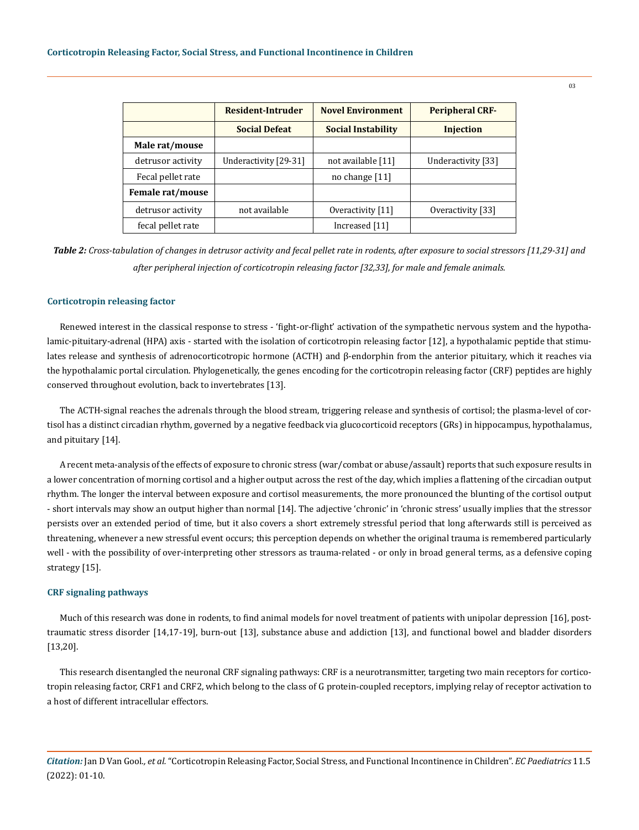|                   | Resident-Intruder     | <b>Novel Environment</b>  | <b>Peripheral CRF-</b> |
|-------------------|-----------------------|---------------------------|------------------------|
|                   | <b>Social Defeat</b>  | <b>Social Instability</b> | <b>Injection</b>       |
| Male rat/mouse    |                       |                           |                        |
| detrusor activity | Underactivity [29-31] | not available [11]        | Underactivity [33]     |
| Fecal pellet rate |                       | no change $[11]$          |                        |
| Female rat/mouse  |                       |                           |                        |
| detrusor activity | not available         | Overactivity [11]         | Overactivity [33]      |
| fecal pellet rate |                       | Increased [11]            |                        |

*Table 2: Cross-tabulation of changes in detrusor activity and fecal pellet rate in rodents, after exposure to social stressors [11,29-31] and after peripheral injection of corticotropin releasing factor [32,33], for male and female animals.*

#### **Corticotropin releasing factor**

Renewed interest in the classical response to stress - 'fight-or-flight' activation of the sympathetic nervous system and the hypothalamic-pituitary-adrenal (HPA) axis - started with the isolation of corticotropin releasing factor [12], a hypothalamic peptide that stimulates release and synthesis of adrenocorticotropic hormone (ACTH) and β-endorphin from the anterior pituitary, which it reaches via the hypothalamic portal circulation. Phylogenetically, the genes encoding for the corticotropin releasing factor (CRF) peptides are highly conserved throughout evolution, back to invertebrates [13].

The ACTH-signal reaches the adrenals through the blood stream, triggering release and synthesis of cortisol; the plasma-level of cortisol has a distinct circadian rhythm, governed by a negative feedback via glucocorticoid receptors (GRs) in hippocampus, hypothalamus, and pituitary [14].

A recent meta-analysis of the effects of exposure to chronic stress (war/combat or abuse/assault) reports that such exposure results in a lower concentration of morning cortisol and a higher output across the rest of the day, which implies a flattening of the circadian output rhythm. The longer the interval between exposure and cortisol measurements, the more pronounced the blunting of the cortisol output - short intervals may show an output higher than normal [14]. The adjective 'chronic' in 'chronic stress' usually implies that the stressor persists over an extended period of time, but it also covers a short extremely stressful period that long afterwards still is perceived as threatening, whenever a new stressful event occurs; this perception depends on whether the original trauma is remembered particularly well - with the possibility of over-interpreting other stressors as trauma-related - or only in broad general terms, as a defensive coping strategy [15].

## **CRF signaling pathways**

Much of this research was done in rodents, to find animal models for novel treatment of patients with unipolar depression [16], posttraumatic stress disorder [14,17-19], burn-out [13], substance abuse and addiction [13], and functional bowel and bladder disorders [13,20].

This research disentangled the neuronal CRF signaling pathways: CRF is a neurotransmitter, targeting two main receptors for corticotropin releasing factor, CRF1 and CRF2, which belong to the class of G protein-coupled receptors, implying relay of receptor activation to a host of different intracellular effectors.

*Citation:* Jan D Van Gool*., et al.* "Corticotropin Releasing Factor, Social Stress, and Functional Incontinence in Children". *EC Paediatrics* 11.5 (2022): 01-10.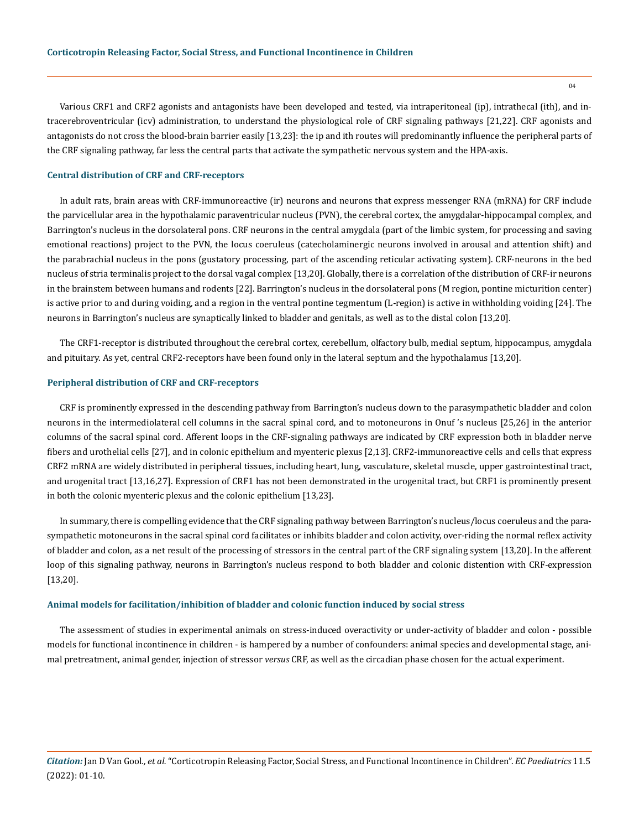Various CRF1 and CRF2 agonists and antagonists have been developed and tested, via intraperitoneal (ip), intrathecal (ith), and intracerebroventricular (icv) administration, to understand the physiological role of CRF signaling pathways [21,22]. CRF agonists and antagonists do not cross the blood-brain barrier easily [13,23]: the ip and ith routes will predominantly influence the peripheral parts of the CRF signaling pathway, far less the central parts that activate the sympathetic nervous system and the HPA-axis.

#### **Central distribution of CRF and CRF-receptors**

In adult rats, brain areas with CRF-immunoreactive (ir) neurons and neurons that express messenger RNA (mRNA) for CRF include the parvicellular area in the hypothalamic paraventricular nucleus (PVN), the cerebral cortex, the amygdalar-hippocampal complex, and Barrington's nucleus in the dorsolateral pons. CRF neurons in the central amygdala (part of the limbic system, for processing and saving emotional reactions) project to the PVN, the locus coeruleus (catecholaminergic neurons involved in arousal and attention shift) and the parabrachial nucleus in the pons (gustatory processing, part of the ascending reticular activating system). CRF-neurons in the bed nucleus of stria terminalis project to the dorsal vagal complex [13,20]. Globally, there is a correlation of the distribution of CRF-ir neurons in the brainstem between humans and rodents [22]. Barrington's nucleus in the dorsolateral pons (M region, pontine micturition center) is active prior to and during voiding, and a region in the ventral pontine tegmentum (L-region) is active in withholding voiding [24]. The neurons in Barrington's nucleus are synaptically linked to bladder and genitals, as well as to the distal colon [13,20].

The CRF1-receptor is distributed throughout the cerebral cortex, cerebellum, olfactory bulb, medial septum, hippocampus, amygdala and pituitary. As yet, central CRF2-receptors have been found only in the lateral septum and the hypothalamus [13,20].

#### **Peripheral distribution of CRF and CRF-receptors**

CRF is prominently expressed in the descending pathway from Barrington's nucleus down to the parasympathetic bladder and colon neurons in the intermediolateral cell columns in the sacral spinal cord, and to motoneurons in Onuf 's nucleus [25,26] in the anterior columns of the sacral spinal cord. Afferent loops in the CRF-signaling pathways are indicated by CRF expression both in bladder nerve fibers and urothelial cells [27], and in colonic epithelium and myenteric plexus [2,13]. CRF2-immunoreactive cells and cells that express CRF2 mRNA are widely distributed in peripheral tissues, including heart, lung, vasculature, skeletal muscle, upper gastrointestinal tract, and urogenital tract [13,16,27]. Expression of CRF1 has not been demonstrated in the urogenital tract, but CRF1 is prominently present in both the colonic myenteric plexus and the colonic epithelium [13,23].

In summary, there is compelling evidence that the CRF signaling pathway between Barrington's nucleus/locus coeruleus and the parasympathetic motoneurons in the sacral spinal cord facilitates or inhibits bladder and colon activity, over-riding the normal reflex activity of bladder and colon, as a net result of the processing of stressors in the central part of the CRF signaling system [13,20]. In the afferent loop of this signaling pathway, neurons in Barrington's nucleus respond to both bladder and colonic distention with CRF-expression [13,20].

#### **Animal models for facilitation/inhibition of bladder and colonic function induced by social stress**

The assessment of studies in experimental animals on stress-induced overactivity or under-activity of bladder and colon - possible models for functional incontinence in children - is hampered by a number of confounders: animal species and developmental stage, animal pretreatment, animal gender, injection of stressor *versus* CRF, as well as the circadian phase chosen for the actual experiment.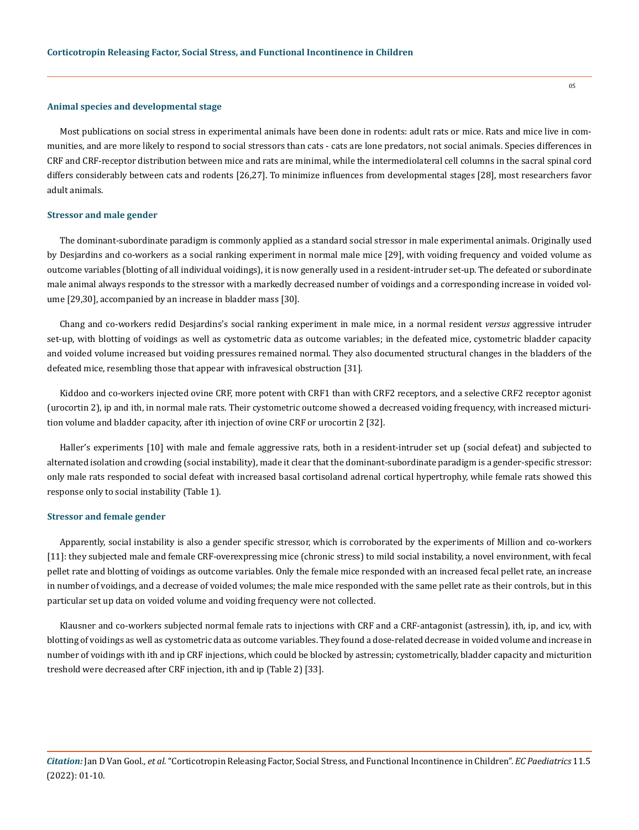#### **Animal species and developmental stage**

Most publications on social stress in experimental animals have been done in rodents: adult rats or mice. Rats and mice live in communities, and are more likely to respond to social stressors than cats - cats are lone predators, not social animals. Species differences in CRF and CRF-receptor distribution between mice and rats are minimal, while the intermediolateral cell columns in the sacral spinal cord differs considerably between cats and rodents [26,27]. To minimize influences from developmental stages [28], most researchers favor adult animals.

#### **Stressor and male gender**

The dominant-subordinate paradigm is commonly applied as a standard social stressor in male experimental animals. Originally used by Desjardins and co-workers as a social ranking experiment in normal male mice [29], with voiding frequency and voided volume as outcome variables (blotting of all individual voidings), it is now generally used in a resident-intruder set-up. The defeated or subordinate male animal always responds to the stressor with a markedly decreased number of voidings and a corresponding increase in voided volume [29,30], accompanied by an increase in bladder mass [30].

Chang and co-workers redid Desjardins's social ranking experiment in male mice, in a normal resident *versus* aggressive intruder set-up, with blotting of voidings as well as cystometric data as outcome variables; in the defeated mice, cystometric bladder capacity and voided volume increased but voiding pressures remained normal. They also documented structural changes in the bladders of the defeated mice, resembling those that appear with infravesical obstruction [31].

Kiddoo and co-workers injected ovine CRF, more potent with CRF1 than with CRF2 receptors, and a selective CRF2 receptor agonist (urocortin 2), ip and ith, in normal male rats. Their cystometric outcome showed a decreased voiding frequency, with increased micturition volume and bladder capacity, after ith injection of ovine CRF or urocortin 2 [32].

Haller's experiments [10] with male and female aggressive rats, both in a resident-intruder set up (social defeat) and subjected to alternated isolation and crowding (social instability), made it clear that the dominant-subordinate paradigm is a gender-specific stressor: only male rats responded to social defeat with increased basal cortisoland adrenal cortical hypertrophy, while female rats showed this response only to social instability (Table 1).

#### **Stressor and female gender**

Apparently, social instability is also a gender specific stressor, which is corroborated by the experiments of Million and co-workers [11]: they subjected male and female CRF-overexpressing mice (chronic stress) to mild social instability, a novel environment, with fecal pellet rate and blotting of voidings as outcome variables. Only the female mice responded with an increased fecal pellet rate, an increase in number of voidings, and a decrease of voided volumes; the male mice responded with the same pellet rate as their controls, but in this particular set up data on voided volume and voiding frequency were not collected.

Klausner and co-workers subjected normal female rats to injections with CRF and a CRF-antagonist (astressin), ith, ip, and icv, with blotting of voidings as well as cystometric data as outcome variables. They found a dose-related decrease in voided volume and increase in number of voidings with ith and ip CRF injections, which could be blocked by astressin; cystometrically, bladder capacity and micturition treshold were decreased after CRF injection, ith and ip (Table 2) [33].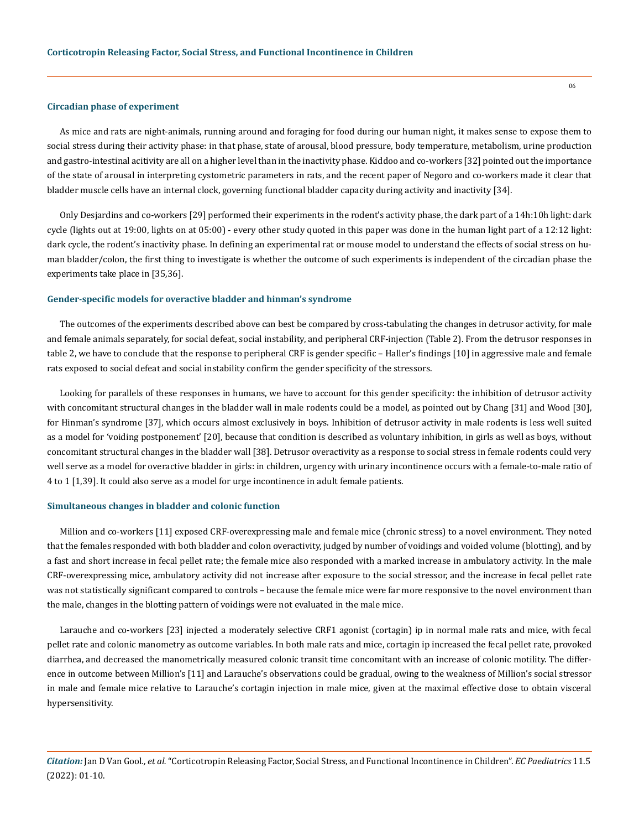#### **Circadian phase of experiment**

As mice and rats are night-animals, running around and foraging for food during our human night, it makes sense to expose them to social stress during their activity phase: in that phase, state of arousal, blood pressure, body temperature, metabolism, urine production and gastro-intestinal acitivity are all on a higher level than in the inactivity phase. Kiddoo and co-workers [32] pointed out the importance of the state of arousal in interpreting cystometric parameters in rats, and the recent paper of Negoro and co-workers made it clear that bladder muscle cells have an internal clock, governing functional bladder capacity during activity and inactivity [34].

Only Desjardins and co-workers [29] performed their experiments in the rodent's activity phase, the dark part of a 14h:10h light: dark cycle (lights out at 19:00, lights on at 05:00) - every other study quoted in this paper was done in the human light part of a 12:12 light: dark cycle, the rodent's inactivity phase. In defining an experimental rat or mouse model to understand the effects of social stress on human bladder/colon, the first thing to investigate is whether the outcome of such experiments is independent of the circadian phase the experiments take place in [35,36].

#### **Gender-specific models for overactive bladder and hinman's syndrome**

The outcomes of the experiments described above can best be compared by cross-tabulating the changes in detrusor activity, for male and female animals separately, for social defeat, social instability, and peripheral CRF-injection (Table 2). From the detrusor responses in table 2, we have to conclude that the response to peripheral CRF is gender specific – Haller's findings [10] in aggressive male and female rats exposed to social defeat and social instability confirm the gender specificity of the stressors.

Looking for parallels of these responses in humans, we have to account for this gender specificity: the inhibition of detrusor activity with concomitant structural changes in the bladder wall in male rodents could be a model, as pointed out by Chang [31] and Wood [30], for Hinman's syndrome [37], which occurs almost exclusively in boys. Inhibition of detrusor activity in male rodents is less well suited as a model for 'voiding postponement' [20], because that condition is described as voluntary inhibition, in girls as well as boys, without concomitant structural changes in the bladder wall [38]. Detrusor overactivity as a response to social stress in female rodents could very well serve as a model for overactive bladder in girls: in children, urgency with urinary incontinence occurs with a female-to-male ratio of 4 to 1 [1,39]. It could also serve as a model for urge incontinence in adult female patients.

#### **Simultaneous changes in bladder and colonic function**

Million and co-workers [11] exposed CRF-overexpressing male and female mice (chronic stress) to a novel environment. They noted that the females responded with both bladder and colon overactivity, judged by number of voidings and voided volume (blotting), and by a fast and short increase in fecal pellet rate; the female mice also responded with a marked increase in ambulatory activity. In the male CRF-overexpressing mice, ambulatory activity did not increase after exposure to the social stressor, and the increase in fecal pellet rate was not statistically significant compared to controls – because the female mice were far more responsive to the novel environment than the male, changes in the blotting pattern of voidings were not evaluated in the male mice.

Larauche and co-workers [23] injected a moderately selective CRF1 agonist (cortagin) ip in normal male rats and mice, with fecal pellet rate and colonic manometry as outcome variables. In both male rats and mice, cortagin ip increased the fecal pellet rate, provoked diarrhea, and decreased the manometrically measured colonic transit time concomitant with an increase of colonic motility. The difference in outcome between Million's [11] and Larauche's observations could be gradual, owing to the weakness of Million's social stressor in male and female mice relative to Larauche's cortagin injection in male mice, given at the maximal effective dose to obtain visceral hypersensitivity.

*Citation:* Jan D Van Gool*., et al.* "Corticotropin Releasing Factor, Social Stress, and Functional Incontinence in Children". *EC Paediatrics* 11.5 (2022): 01-10.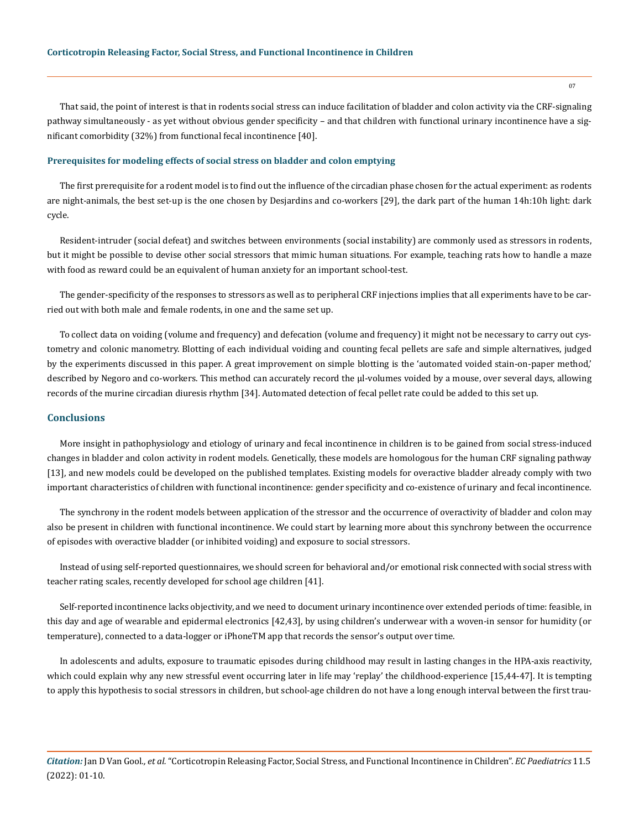That said, the point of interest is that in rodents social stress can induce facilitation of bladder and colon activity via the CRF-signaling pathway simultaneously - as yet without obvious gender specificity – and that children with functional urinary incontinence have a significant comorbidity (32%) from functional fecal incontinence [40].

#### **Prerequisites for modeling effects of social stress on bladder and colon emptying**

The first prerequisite for a rodent model is to find out the influence of the circadian phase chosen for the actual experiment: as rodents are night-animals, the best set-up is the one chosen by Desjardins and co-workers [29], the dark part of the human 14h:10h light: dark cycle.

Resident-intruder (social defeat) and switches between environments (social instability) are commonly used as stressors in rodents, but it might be possible to devise other social stressors that mimic human situations. For example, teaching rats how to handle a maze with food as reward could be an equivalent of human anxiety for an important school-test.

The gender-specificity of the responses to stressors as well as to peripheral CRF injections implies that all experiments have to be carried out with both male and female rodents, in one and the same set up.

To collect data on voiding (volume and frequency) and defecation (volume and frequency) it might not be necessary to carry out cystometry and colonic manometry. Blotting of each individual voiding and counting fecal pellets are safe and simple alternatives, judged by the experiments discussed in this paper. A great improvement on simple blotting is the 'automated voided stain-on-paper method,' described by Negoro and co-workers. This method can accurately record the µl-volumes voided by a mouse, over several days, allowing records of the murine circadian diuresis rhythm [34]. Automated detection of fecal pellet rate could be added to this set up.

### **Conclusions**

More insight in pathophysiology and etiology of urinary and fecal incontinence in children is to be gained from social stress-induced changes in bladder and colon activity in rodent models. Genetically, these models are homologous for the human CRF signaling pathway [13], and new models could be developed on the published templates. Existing models for overactive bladder already comply with two important characteristics of children with functional incontinence: gender specificity and co-existence of urinary and fecal incontinence.

The synchrony in the rodent models between application of the stressor and the occurrence of overactivity of bladder and colon may also be present in children with functional incontinence. We could start by learning more about this synchrony between the occurrence of episodes with overactive bladder (or inhibited voiding) and exposure to social stressors.

Instead of using self-reported questionnaires, we should screen for behavioral and/or emotional risk connected with social stress with teacher rating scales, recently developed for school age children [41].

Self-reported incontinence lacks objectivity, and we need to document urinary incontinence over extended periods of time: feasible, in this day and age of wearable and epidermal electronics [42,43], by using children's underwear with a woven-in sensor for humidity (or temperature), connected to a data-logger or iPhoneTM app that records the sensor's output over time.

In adolescents and adults, exposure to traumatic episodes during childhood may result in lasting changes in the HPA-axis reactivity, which could explain why any new stressful event occurring later in life may 'replay' the childhood-experience [15,44-47]. It is tempting to apply this hypothesis to social stressors in children, but school-age children do not have a long enough interval between the first trau-

*Citation:* Jan D Van Gool*., et al.* "Corticotropin Releasing Factor, Social Stress, and Functional Incontinence in Children". *EC Paediatrics* 11.5 (2022): 01-10.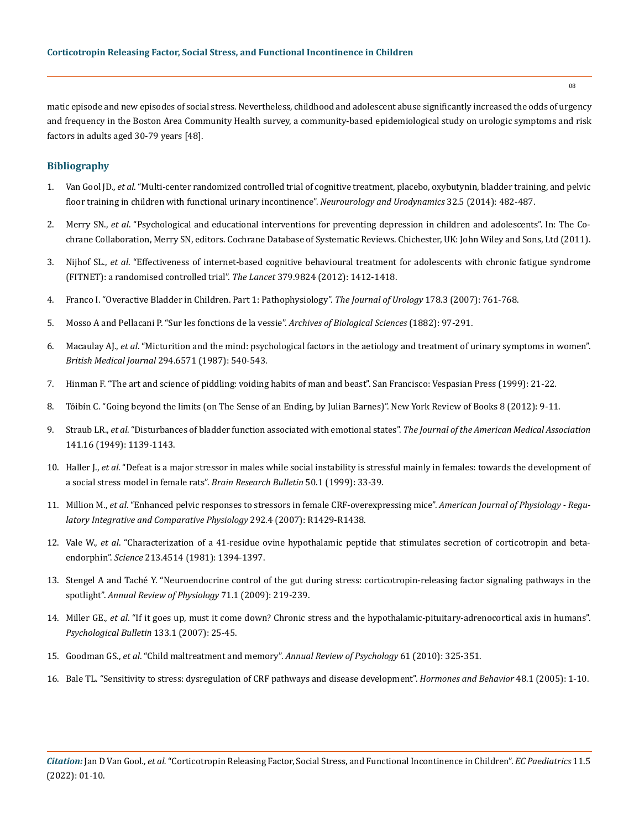matic episode and new episodes of social stress. Nevertheless, childhood and adolescent abuse significantly increased the odds of urgency and frequency in the Boston Area Community Health survey, a community-based epidemiological study on urologic symptoms and risk factors in adults aged 30-79 years [48].

## **Bibliography**

- 1. Van Gool JD., *et al*[. "Multi-center randomized controlled trial of cognitive treatment, placebo, oxybutynin, bladder training, and pelvic](https://pubmed.ncbi.nlm.nih.gov/23775924/)  [floor training in children with functional urinary incontinence".](https://pubmed.ncbi.nlm.nih.gov/23775924/) *Neurourology and Urodynamics* 32.5 (2014): 482-487.
- 2. Merry SN., *et al*[. "Psychological and educational interventions for preventing depression in children and adolescents". In: The Co](https://pubmed.ncbi.nlm.nih.gov/22161377/)[chrane Collaboration, Merry SN, editors. Cochrane Database of Systematic Reviews. Chichester, UK: John Wiley and Sons, Ltd \(2011\).](https://pubmed.ncbi.nlm.nih.gov/22161377/)
- 3. Nijhof SL., *et al*[. "Effectiveness of internet-based cognitive behavioural treatment for adolescents with chronic fatigue syndrome](https://pubmed.ncbi.nlm.nih.gov/22385683/)  [\(FITNET\): a randomised controlled trial".](https://pubmed.ncbi.nlm.nih.gov/22385683/) *The Lancet* 379.9824 (2012): 1412-1418.
- 4. [Franco I. "Overactive Bladder in Children. Part 1: Pathophysiology".](https://pubmed.ncbi.nlm.nih.gov/17631323/) *The Journal of Urology* 178.3 (2007): 761-768.
- 5. Mosso A and Pellacani P. "Sur les fonctions de la vessie". *Archives of Biological Sciences* (1882): 97-291.
- 6. Macaulay AJ., *et al*[. "Micturition and the mind: psychological factors in the aetiology and treatment of urinary symptoms in women".](https://pubmed.ncbi.nlm.nih.gov/3103764/)  *[British Medical Journal](https://pubmed.ncbi.nlm.nih.gov/3103764/)* 294.6571 (1987): 540-543.
- 7. Hinman F. "The art and science of piddling: voiding habits of man and beast". San Francisco: Vespasian Press (1999): 21-22.
- 8. Tóibín C. "Going beyond the limits (on The Sense of an Ending, by Julian Barnes)". New York Review of Books 8 (2012): 9-11.
- 9. Straub LR., *et al*[. "Disturbances of bladder function associated with emotional states".](https://pubmed.ncbi.nlm.nih.gov/15394680/) *The Journal of the American Medical Association* [141.16 \(1949\): 1139-1143.](https://pubmed.ncbi.nlm.nih.gov/15394680/)
- 10. Haller J., *et al*[. "Defeat is a major stressor in males while social instability is stressful mainly in females: towards the development of](https://psycnet.apa.org/record/1999-11810-001)  [a social stress model in female rats".](https://psycnet.apa.org/record/1999-11810-001) *Brain Research Bulletin* 50.1 (1999): 33-39.
- 11. Million M., *et al*[. "Enhanced pelvic responses to stressors in female CRF-overexpressing mice".](https://pubmed.ncbi.nlm.nih.gov/17194724/) *American Journal of Physiology Regu[latory Integrative and Comparative Physiology](https://pubmed.ncbi.nlm.nih.gov/17194724/)* 292.4 (2007): R1429-R1438.
- 12. Vale W., *et al*[. "Characterization of a 41-residue ovine hypothalamic peptide that stimulates secretion of corticotropin and beta](https://pubmed.ncbi.nlm.nih.gov/6267699/)endorphin". *Science* [213.4514 \(1981\): 1394-1397.](https://pubmed.ncbi.nlm.nih.gov/6267699/)
- 13. [Stengel A and Taché Y. "Neuroendocrine control of the gut during stress: corticotropin-releasing factor signaling pathways in the](https://pubmed.ncbi.nlm.nih.gov/18928406/)  spotlight". *[Annual Review of Physiology](https://pubmed.ncbi.nlm.nih.gov/18928406/)* 71.1 (2009): 219-239.
- 14. Miller GE., *et al*[. "If it goes up, must it come down? Chronic stress and the hypothalamic-pituitary-adrenocortical axis in humans".](https://pubmed.ncbi.nlm.nih.gov/17201569/)  *[Psychological Bulletin](https://pubmed.ncbi.nlm.nih.gov/17201569/)* 133.1 (2007): 25-45.
- 15. Goodman GS., *et al*[. "Child maltreatment and memory".](https://pubmed.ncbi.nlm.nih.gov/19575622/) *Annual Review of Psychology* 61 (2010): 325-351.
- 16. [Bale TL. "Sensitivity to stress: dysregulation of CRF pathways and disease development".](https://pubmed.ncbi.nlm.nih.gov/15919381/) *Hormones and Behavior* 48.1 (2005): 1-10.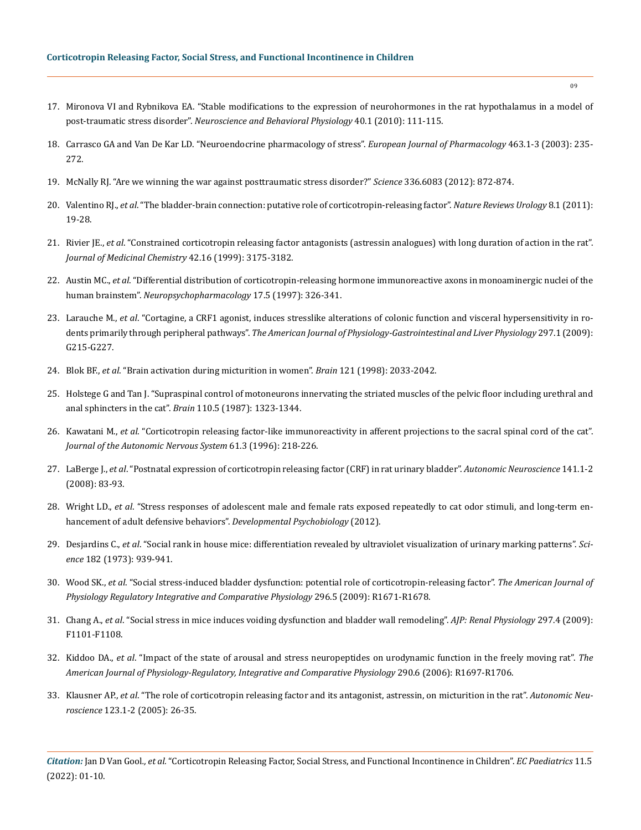- 17. [Mironova VI and Rybnikova EA. "Stable modifications to the expression of neurohormones in the rat hypothalamus in a model of](https://pubmed.ncbi.nlm.nih.gov/20012497/)  post-traumatic stress disorder". *[Neuroscience and Behavioral Physiology](https://pubmed.ncbi.nlm.nih.gov/20012497/)* 40.1 (2010): 111-115.
- 18. [Carrasco GA and Van De Kar LD. "Neuroendocrine pharmacology of stress".](https://hero.epa.gov/hero/index.cfm/reference/details/reference_id/7474603) *European Journal of Pharmacology* 463.1-3 (2003): 235- [272.](https://hero.epa.gov/hero/index.cfm/reference/details/reference_id/7474603)
- 19. [McNally RJ. "Are we winning the war against posttraumatic stress disorder?"](https://pubmed.ncbi.nlm.nih.gov/22605766/) *Science* 336.6083 (2012): 872-874.
- 20. Valentino RJ., *et al*[. "The bladder-brain connection: putative role of corticotropin-releasing factor".](https://www.nature.com/articles/nrurol.2010.203) *Nature Reviews Urology* 8.1 (2011): [19-28.](https://www.nature.com/articles/nrurol.2010.203)
- 21. Rivier JE., *et al*[. "Constrained corticotropin releasing factor antagonists \(astressin analogues\) with long duration of action in the rat".](https://pubs.acs.org/doi/10.1021/jm9902133)  *[Journal of Medicinal Chemistry](https://pubs.acs.org/doi/10.1021/jm9902133)* 42.16 (1999): 3175-3182.
- 22. Austin MC., *et al*[. "Differential distribution of corticotropin-releasing hormone immunoreactive axons in monoaminergic nuclei of the](https://pubmed.ncbi.nlm.nih.gov/9348548/)  human brainstem". *[Neuropsychopharmacology](https://pubmed.ncbi.nlm.nih.gov/9348548/)* 17.5 (1997): 326-341.
- 23. Larauche M., *et al*[. "Cortagine, a CRF1 agonist, induces stresslike alterations of colonic function and visceral hypersensitivity in ro](https://pubmed.ncbi.nlm.nih.gov/19407218/)dents primarily through peripheral pathways". *[The American Journal of Physiology-Gastrointestinal and Liver Physiology](https://pubmed.ncbi.nlm.nih.gov/19407218/)* 297.1 (2009): [G215-G227.](https://pubmed.ncbi.nlm.nih.gov/19407218/)
- 24. Blok BF., *et al*[. "Brain activation during micturition in women".](https://academic.oup.com/crawlprevention/governor?content=%2fbrain%2fOUP%2fRunPdfHandler%3fjournal%3dbrain%26volume%3d121%26issue%3d11%26page%3d2033%26multimediaId%3d17863648) *Brain* 121 (1998): 2033-2042.
- 25. [Holstege G and Tan J. "Supraspinal control of motoneurons innervating the striated muscles of the pelvic floor including urethral and](https://pubmed.ncbi.nlm.nih.gov/3676703/)  [anal sphincters in the cat".](https://pubmed.ncbi.nlm.nih.gov/3676703/) *Brain* 110.5 (1987): 1323-1344.
- 26. Kawatani M., *et al*[. "Corticotropin releasing factor-like immunoreactivity in afferent projections to the sacral spinal cord of the cat".](https://pubmed.ncbi.nlm.nih.gov/8988478/)  *[Journal of the Autonomic Nervous System](https://pubmed.ncbi.nlm.nih.gov/8988478/)* 61.3 (1996): 218-226.
- 27. LaBerge J., *et al*[. "Postnatal expression of corticotropin releasing factor \(CRF\) in rat urinary bladder".](https://pubmed.ncbi.nlm.nih.gov/18595780/) *Autonomic Neuroscience* 141.1-2 [\(2008\): 83-93.](https://pubmed.ncbi.nlm.nih.gov/18595780/)
- 28. Wright LD., *et al*[. "Stress responses of adolescent male and female rats exposed repeatedly to cat odor stimuli, and long-term en](https://www.researchgate.net/publication/228104937_Stress_responses_of_adolescent_male_and_female_rats_exposed_repeatedly_to_cat_odor_stimuli_and_long-term_enhancement_of_adult_defensive_behaviors)[hancement of adult defensive behaviors".](https://www.researchgate.net/publication/228104937_Stress_responses_of_adolescent_male_and_female_rats_exposed_repeatedly_to_cat_odor_stimuli_and_long-term_enhancement_of_adult_defensive_behaviors) *Developmental Psychobiology* (2012).
- 29. Desjardins C., *et al*[. "Social rank in house mice: differentiation revealed by ultraviolet visualization of urinary marking patterns".](https://www.science.org/doi/10.1126/science.182.4115.939) *Science* [182 \(1973\): 939-941.](https://www.science.org/doi/10.1126/science.182.4115.939)
- 30. Wood SK., *et al*[. "Social stress-induced bladder dysfunction: potential role of corticotropin-releasing factor".](https://pubmed.ncbi.nlm.nih.gov/19279290/) *The American Journal of [Physiology Regulatory Integrative and Comparative Physiology](https://pubmed.ncbi.nlm.nih.gov/19279290/)* 296.5 (2009): R1671-R1678.
- 31. Chang A., *et al*[. "Social stress in mice induces voiding dysfunction and bladder wall remodeling".](https://www.researchgate.net/publication/26656362_Social_stress_in_mice_induces_voiding_dysfunction_and_bladder_wall_remodeling) *AJP: Renal Physiology* 297.4 (2009): [F1101-F1108.](https://www.researchgate.net/publication/26656362_Social_stress_in_mice_induces_voiding_dysfunction_and_bladder_wall_remodeling)
- 32. Kiddoo DA., *et al*[. "Impact of the state of arousal and stress neuropeptides on urodynamic function in the freely moving rat".](https://journals.physiology.org/doi/full/10.1152/ajpregu.00742.2005) *The [American Journal of Physiology-Regulatory, Integrative and Comparative Physiology](https://journals.physiology.org/doi/full/10.1152/ajpregu.00742.2005)* 290.6 (2006): R1697-R1706.
- 33. Klausner AP., *et al*[. "The role of corticotropin releasing factor and its antagonist, astressin, on micturition in the rat".](https://pubmed.ncbi.nlm.nih.gov/16256445/) *Autonomic Neuroscience* [123.1-2 \(2005\): 26-35.](https://pubmed.ncbi.nlm.nih.gov/16256445/)

*Citation:* Jan D Van Gool*., et al.* "Corticotropin Releasing Factor, Social Stress, and Functional Incontinence in Children". *EC Paediatrics* 11.5 (2022): 01-10.